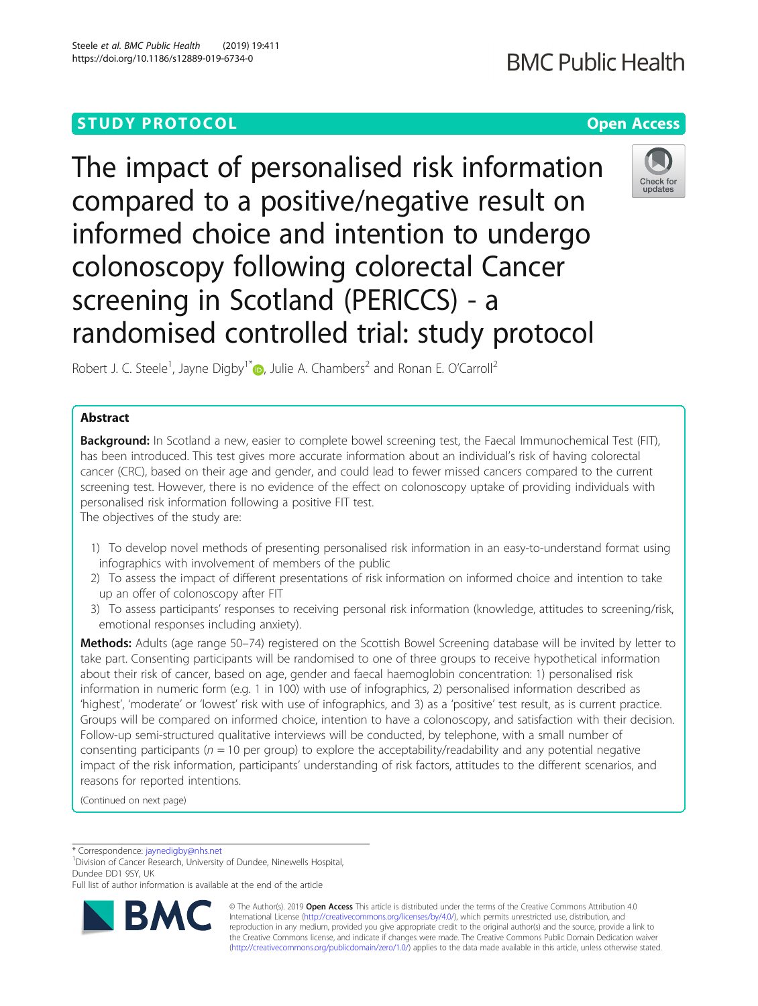# **STUDY PROTOCOL CONSUMING THE CONSUMING OPEN ACCESS**

The impact of personalised risk information compared to a positive/negative result on informed choice and intention to undergo colonoscopy following colorectal Cancer screening in Scotland (PERICCS) - a randomised controlled trial: study protocol



Robert J. C. Steele<sup>1</sup>, Jayne Digby<sup>1\*</sup> $\bullet$ , Julie A. Chambers<sup>2</sup> and Ronan E. O'Carroll<sup>2</sup>

# Abstract

**Background:** In Scotland a new, easier to complete bowel screening test, the Faecal Immunochemical Test (FIT), has been introduced. This test gives more accurate information about an individual's risk of having colorectal cancer (CRC), based on their age and gender, and could lead to fewer missed cancers compared to the current screening test. However, there is no evidence of the effect on colonoscopy uptake of providing individuals with personalised risk information following a positive FIT test.

The objectives of the study are:

- 1) To develop novel methods of presenting personalised risk information in an easy-to-understand format using infographics with involvement of members of the public
- 2) To assess the impact of different presentations of risk information on informed choice and intention to take up an offer of colonoscopy after FIT
- 3) To assess participants' responses to receiving personal risk information (knowledge, attitudes to screening/risk, emotional responses including anxiety).

Methods: Adults (age range 50–74) registered on the Scottish Bowel Screening database will be invited by letter to take part. Consenting participants will be randomised to one of three groups to receive hypothetical information about their risk of cancer, based on age, gender and faecal haemoglobin concentration: 1) personalised risk information in numeric form (e.g. 1 in 100) with use of infographics, 2) personalised information described as 'highest', 'moderate' or 'lowest' risk with use of infographics, and 3) as a 'positive' test result, as is current practice. Groups will be compared on informed choice, intention to have a colonoscopy, and satisfaction with their decision. Follow-up semi-structured qualitative interviews will be conducted, by telephone, with a small number of consenting participants ( $n = 10$  per group) to explore the acceptability/readability and any potential negative impact of the risk information, participants' understanding of risk factors, attitudes to the different scenarios, and reasons for reported intentions.

(Continued on next page)

\* Correspondence: [jaynedigby@nhs.net](mailto:jaynedigby@nhs.net) <sup>1</sup>

<sup>1</sup> Division of Cancer Research, University of Dundee, Ninewells Hospital, Dundee DD1 9SY, UK

Full list of author information is available at the end of the article



© The Author(s). 2019 Open Access This article is distributed under the terms of the Creative Commons Attribution 4.0 International License [\(http://creativecommons.org/licenses/by/4.0/](http://creativecommons.org/licenses/by/4.0/)), which permits unrestricted use, distribution, and reproduction in any medium, provided you give appropriate credit to the original author(s) and the source, provide a link to the Creative Commons license, and indicate if changes were made. The Creative Commons Public Domain Dedication waiver [\(http://creativecommons.org/publicdomain/zero/1.0/](http://creativecommons.org/publicdomain/zero/1.0/)) applies to the data made available in this article, unless otherwise stated.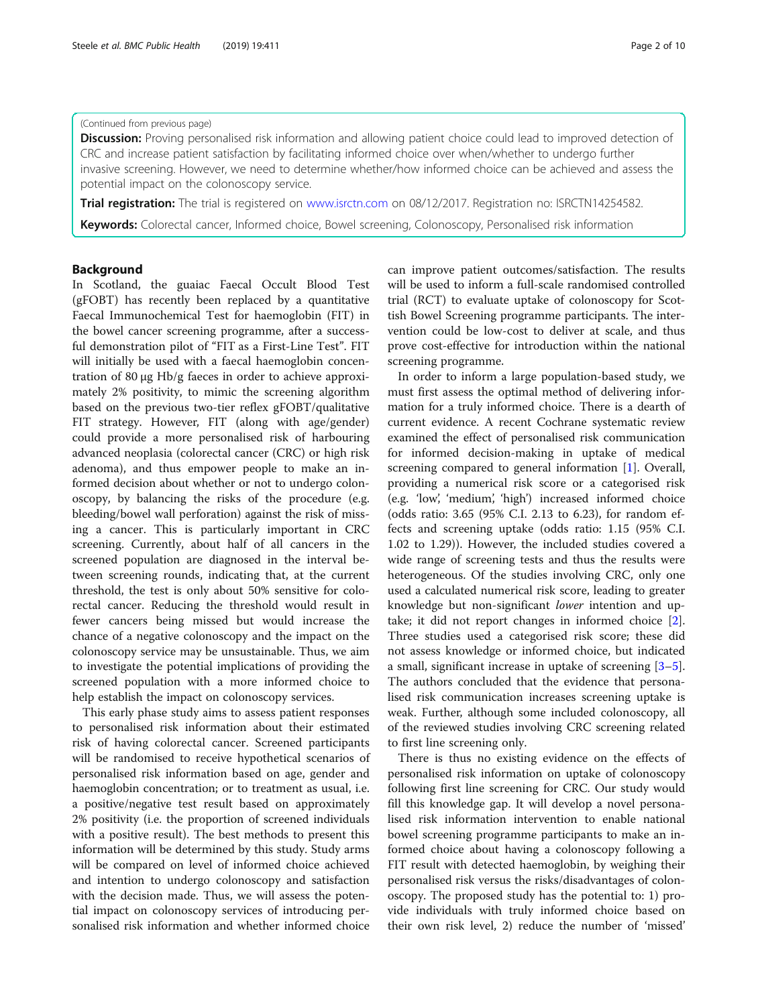# (Continued from previous page)

Discussion: Proving personalised risk information and allowing patient choice could lead to improved detection of CRC and increase patient satisfaction by facilitating informed choice over when/whether to undergo further invasive screening. However, we need to determine whether/how informed choice can be achieved and assess the potential impact on the colonoscopy service.

Trial registration: The trial is registered on [www.isrctn.com](http://www.isrctn.com) on 08/12/2017. Registration no: ISRCTN14254582.

Keywords: Colorectal cancer, Informed choice, Bowel screening, Colonoscopy, Personalised risk information

# Background

In Scotland, the guaiac Faecal Occult Blood Test (gFOBT) has recently been replaced by a quantitative Faecal Immunochemical Test for haemoglobin (FIT) in the bowel cancer screening programme, after a successful demonstration pilot of "FIT as a First-Line Test". FIT will initially be used with a faecal haemoglobin concentration of 80 μg Hb/g faeces in order to achieve approximately 2% positivity, to mimic the screening algorithm based on the previous two-tier reflex gFOBT/qualitative FIT strategy. However, FIT (along with age/gender) could provide a more personalised risk of harbouring advanced neoplasia (colorectal cancer (CRC) or high risk adenoma), and thus empower people to make an informed decision about whether or not to undergo colonoscopy, by balancing the risks of the procedure (e.g. bleeding/bowel wall perforation) against the risk of missing a cancer. This is particularly important in CRC screening. Currently, about half of all cancers in the screened population are diagnosed in the interval between screening rounds, indicating that, at the current threshold, the test is only about 50% sensitive for colorectal cancer. Reducing the threshold would result in fewer cancers being missed but would increase the chance of a negative colonoscopy and the impact on the colonoscopy service may be unsustainable. Thus, we aim to investigate the potential implications of providing the screened population with a more informed choice to help establish the impact on colonoscopy services.

This early phase study aims to assess patient responses to personalised risk information about their estimated risk of having colorectal cancer. Screened participants will be randomised to receive hypothetical scenarios of personalised risk information based on age, gender and haemoglobin concentration; or to treatment as usual, i.e. a positive/negative test result based on approximately 2% positivity (i.e. the proportion of screened individuals with a positive result). The best methods to present this information will be determined by this study. Study arms will be compared on level of informed choice achieved and intention to undergo colonoscopy and satisfaction with the decision made. Thus, we will assess the potential impact on colonoscopy services of introducing personalised risk information and whether informed choice

can improve patient outcomes/satisfaction. The results will be used to inform a full-scale randomised controlled trial (RCT) to evaluate uptake of colonoscopy for Scottish Bowel Screening programme participants. The intervention could be low-cost to deliver at scale, and thus prove cost-effective for introduction within the national screening programme.

In order to inform a large population-based study, we must first assess the optimal method of delivering information for a truly informed choice. There is a dearth of current evidence. A recent Cochrane systematic review examined the effect of personalised risk communication for informed decision-making in uptake of medical screening compared to general information [[1\]](#page-9-0). Overall, providing a numerical risk score or a categorised risk (e.g. 'low', 'medium', 'high') increased informed choice (odds ratio: 3.65 (95% C.I. 2.13 to 6.23), for random effects and screening uptake (odds ratio: 1.15 (95% C.I. 1.02 to 1.29)). However, the included studies covered a wide range of screening tests and thus the results were heterogeneous. Of the studies involving CRC, only one used a calculated numerical risk score, leading to greater knowledge but non-significant lower intention and uptake; it did not report changes in informed choice [\[2](#page-9-0)]. Three studies used a categorised risk score; these did not assess knowledge or informed choice, but indicated a small, significant increase in uptake of screening [\[3](#page-9-0)–[5](#page-9-0)]. The authors concluded that the evidence that personalised risk communication increases screening uptake is weak. Further, although some included colonoscopy, all of the reviewed studies involving CRC screening related to first line screening only.

There is thus no existing evidence on the effects of personalised risk information on uptake of colonoscopy following first line screening for CRC. Our study would fill this knowledge gap. It will develop a novel personalised risk information intervention to enable national bowel screening programme participants to make an informed choice about having a colonoscopy following a FIT result with detected haemoglobin, by weighing their personalised risk versus the risks/disadvantages of colonoscopy. The proposed study has the potential to: 1) provide individuals with truly informed choice based on their own risk level, 2) reduce the number of 'missed'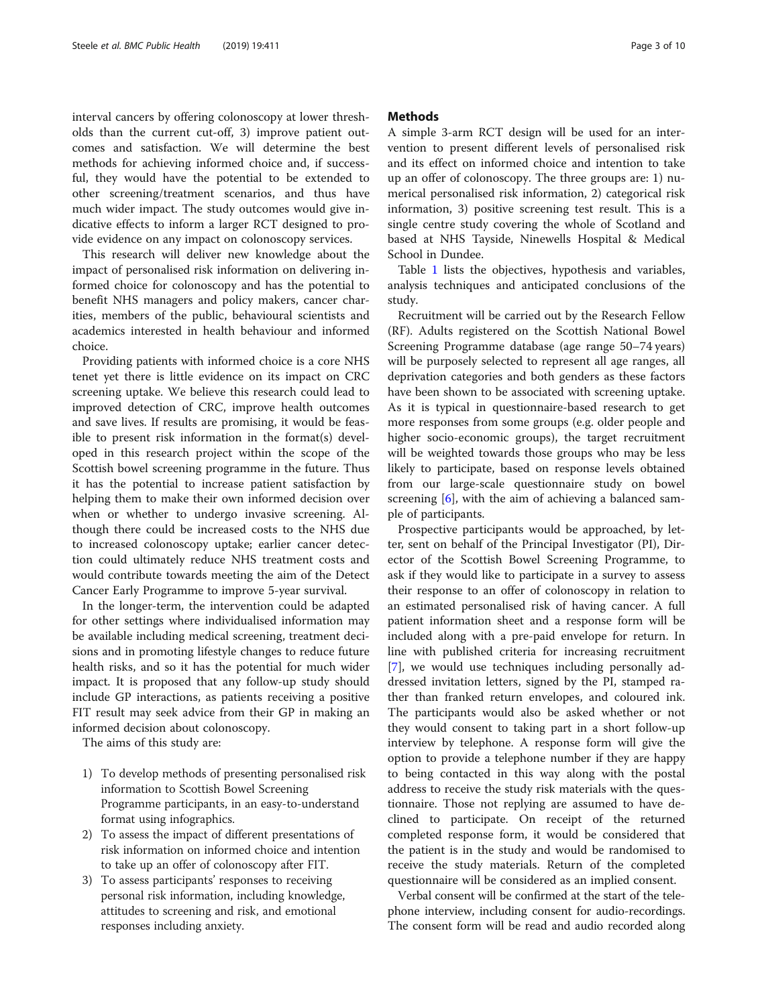interval cancers by offering colonoscopy at lower thresholds than the current cut-off, 3) improve patient outcomes and satisfaction. We will determine the best methods for achieving informed choice and, if successful, they would have the potential to be extended to other screening/treatment scenarios, and thus have much wider impact. The study outcomes would give indicative effects to inform a larger RCT designed to provide evidence on any impact on colonoscopy services.

This research will deliver new knowledge about the impact of personalised risk information on delivering informed choice for colonoscopy and has the potential to benefit NHS managers and policy makers, cancer charities, members of the public, behavioural scientists and academics interested in health behaviour and informed choice.

Providing patients with informed choice is a core NHS tenet yet there is little evidence on its impact on CRC screening uptake. We believe this research could lead to improved detection of CRC, improve health outcomes and save lives. If results are promising, it would be feasible to present risk information in the format(s) developed in this research project within the scope of the Scottish bowel screening programme in the future. Thus it has the potential to increase patient satisfaction by helping them to make their own informed decision over when or whether to undergo invasive screening. Although there could be increased costs to the NHS due to increased colonoscopy uptake; earlier cancer detection could ultimately reduce NHS treatment costs and would contribute towards meeting the aim of the Detect Cancer Early Programme to improve 5-year survival.

In the longer-term, the intervention could be adapted for other settings where individualised information may be available including medical screening, treatment decisions and in promoting lifestyle changes to reduce future health risks, and so it has the potential for much wider impact. It is proposed that any follow-up study should include GP interactions, as patients receiving a positive FIT result may seek advice from their GP in making an informed decision about colonoscopy.

The aims of this study are:

- 1) To develop methods of presenting personalised risk information to Scottish Bowel Screening Programme participants, in an easy-to-understand format using infographics.
- 2) To assess the impact of different presentations of risk information on informed choice and intention to take up an offer of colonoscopy after FIT.
- 3) To assess participants' responses to receiving personal risk information, including knowledge, attitudes to screening and risk, and emotional responses including anxiety.

# **Methods**

A simple 3-arm RCT design will be used for an intervention to present different levels of personalised risk and its effect on informed choice and intention to take up an offer of colonoscopy. The three groups are: 1) numerical personalised risk information, 2) categorical risk information, 3) positive screening test result. This is a single centre study covering the whole of Scotland and based at NHS Tayside, Ninewells Hospital & Medical School in Dundee.

Table [1](#page-3-0) lists the objectives, hypothesis and variables, analysis techniques and anticipated conclusions of the study.

Recruitment will be carried out by the Research Fellow (RF). Adults registered on the Scottish National Bowel Screening Programme database (age range 50–74 years) will be purposely selected to represent all age ranges, all deprivation categories and both genders as these factors have been shown to be associated with screening uptake. As it is typical in questionnaire-based research to get more responses from some groups (e.g. older people and higher socio-economic groups), the target recruitment will be weighted towards those groups who may be less likely to participate, based on response levels obtained from our large-scale questionnaire study on bowel screening  $[6]$  $[6]$ , with the aim of achieving a balanced sample of participants.

Prospective participants would be approached, by letter, sent on behalf of the Principal Investigator (PI), Director of the Scottish Bowel Screening Programme, to ask if they would like to participate in a survey to assess their response to an offer of colonoscopy in relation to an estimated personalised risk of having cancer. A full patient information sheet and a response form will be included along with a pre-paid envelope for return. In line with published criteria for increasing recruitment [[7\]](#page-9-0), we would use techniques including personally addressed invitation letters, signed by the PI, stamped rather than franked return envelopes, and coloured ink. The participants would also be asked whether or not they would consent to taking part in a short follow-up interview by telephone. A response form will give the option to provide a telephone number if they are happy to being contacted in this way along with the postal address to receive the study risk materials with the questionnaire. Those not replying are assumed to have declined to participate. On receipt of the returned completed response form, it would be considered that the patient is in the study and would be randomised to receive the study materials. Return of the completed questionnaire will be considered as an implied consent.

Verbal consent will be confirmed at the start of the telephone interview, including consent for audio-recordings. The consent form will be read and audio recorded along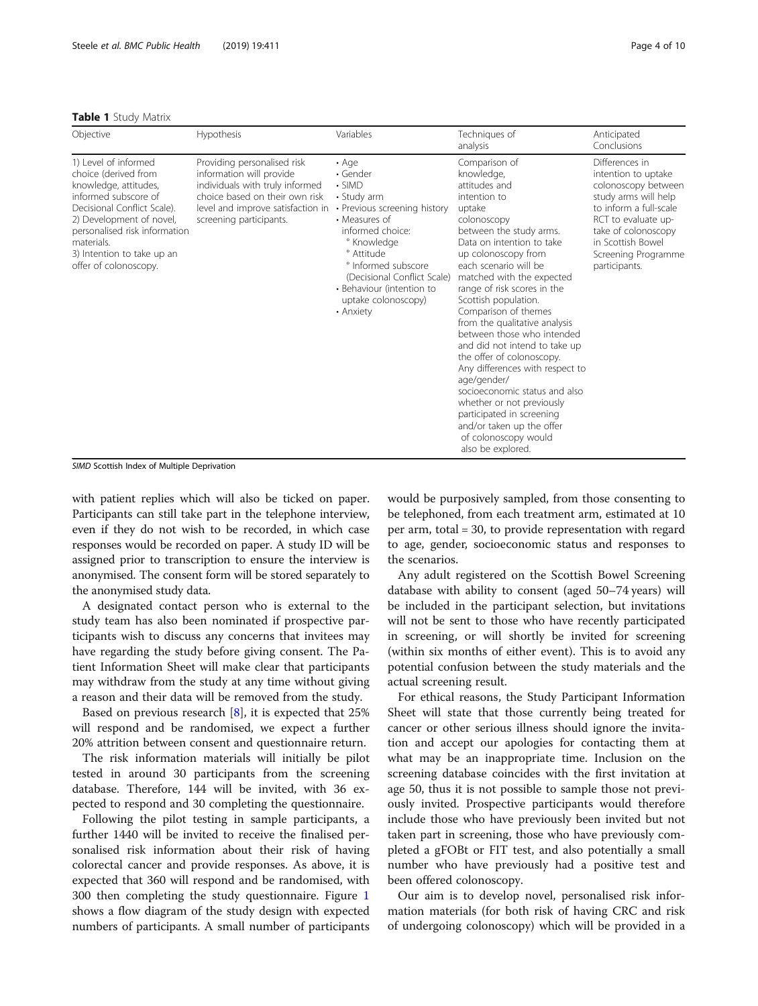# <span id="page-3-0"></span>Table 1 Study Matrix

| Objective                                                                                                                                                                                                                                                      | Hypothesis                                                                                                                                                                                   | Variables                                                                                                                                                                                                                                                                       | Techniques of<br>analysis                                                                                                                                                                                                                                                                                                                                                                                                                                                                                                                                                                                                                                     | Anticipated<br>Conclusions                                                                                                                                                                                                |
|----------------------------------------------------------------------------------------------------------------------------------------------------------------------------------------------------------------------------------------------------------------|----------------------------------------------------------------------------------------------------------------------------------------------------------------------------------------------|---------------------------------------------------------------------------------------------------------------------------------------------------------------------------------------------------------------------------------------------------------------------------------|---------------------------------------------------------------------------------------------------------------------------------------------------------------------------------------------------------------------------------------------------------------------------------------------------------------------------------------------------------------------------------------------------------------------------------------------------------------------------------------------------------------------------------------------------------------------------------------------------------------------------------------------------------------|---------------------------------------------------------------------------------------------------------------------------------------------------------------------------------------------------------------------------|
| 1) Level of informed<br>choice (derived from<br>knowledge, attitudes,<br>informed subscore of<br>Decisional Conflict Scale).<br>2) Development of novel,<br>personalised risk information<br>materials.<br>3) Intention to take up an<br>offer of colonoscopy. | Providing personalised risk<br>information will provide<br>individuals with truly informed<br>choice based on their own risk<br>level and improve satisfaction in<br>screening participants. | $\cdot$ Age<br>• Gender<br>$\cdot$ SIMD<br>• Study arm<br>• Previous screening history<br>• Measures of<br>informed choice:<br>° Knowledge<br>° Attitude<br>° Informed subscore<br>(Decisional Conflict Scale)<br>• Behaviour (intention to<br>uptake colonoscopy)<br>• Anxiety | Comparison of<br>knowledge,<br>attitudes and<br>intention to<br>uptake<br>colonoscopy<br>between the study arms.<br>Data on intention to take<br>up colonoscopy from<br>each scenario will be<br>matched with the expected<br>range of risk scores in the<br>Scottish population.<br>Comparison of themes<br>from the qualitative analysis<br>between those who intended<br>and did not intend to take up<br>the offer of colonoscopy.<br>Any differences with respect to<br>age/gender/<br>socioeconomic status and also<br>whether or not previously<br>participated in screening<br>and/or taken up the offer<br>of colonoscopy would<br>also be explored. | Differences in<br>intention to uptake<br>colonoscopy between<br>study arms will help<br>to inform a full-scale<br>RCT to evaluate up-<br>take of colonoscopy<br>in Scottish Bowel<br>Screening Programme<br>participants. |

SIMD Scottish Index of Multiple Deprivation

with patient replies which will also be ticked on paper. Participants can still take part in the telephone interview, even if they do not wish to be recorded, in which case responses would be recorded on paper. A study ID will be assigned prior to transcription to ensure the interview is anonymised. The consent form will be stored separately to the anonymised study data.

A designated contact person who is external to the study team has also been nominated if prospective participants wish to discuss any concerns that invitees may have regarding the study before giving consent. The Patient Information Sheet will make clear that participants may withdraw from the study at any time without giving a reason and their data will be removed from the study.

Based on previous research  $[8]$  $[8]$ , it is expected that 25% will respond and be randomised, we expect a further 20% attrition between consent and questionnaire return.

The risk information materials will initially be pilot tested in around 30 participants from the screening database. Therefore, 144 will be invited, with 36 expected to respond and 30 completing the questionnaire.

Following the pilot testing in sample participants, a further 1440 will be invited to receive the finalised personalised risk information about their risk of having colorectal cancer and provide responses. As above, it is expected that 360 will respond and be randomised, with 300 then completing the study questionnaire. Figure [1](#page-4-0) shows a flow diagram of the study design with expected numbers of participants. A small number of participants

would be purposively sampled, from those consenting to be telephoned, from each treatment arm, estimated at 10 per arm, total = 30, to provide representation with regard to age, gender, socioeconomic status and responses to the scenarios.

Any adult registered on the Scottish Bowel Screening database with ability to consent (aged 50–74 years) will be included in the participant selection, but invitations will not be sent to those who have recently participated in screening, or will shortly be invited for screening (within six months of either event). This is to avoid any potential confusion between the study materials and the actual screening result.

For ethical reasons, the Study Participant Information Sheet will state that those currently being treated for cancer or other serious illness should ignore the invitation and accept our apologies for contacting them at what may be an inappropriate time. Inclusion on the screening database coincides with the first invitation at age 50, thus it is not possible to sample those not previously invited. Prospective participants would therefore include those who have previously been invited but not taken part in screening, those who have previously completed a gFOBt or FIT test, and also potentially a small number who have previously had a positive test and been offered colonoscopy.

Our aim is to develop novel, personalised risk information materials (for both risk of having CRC and risk of undergoing colonoscopy) which will be provided in a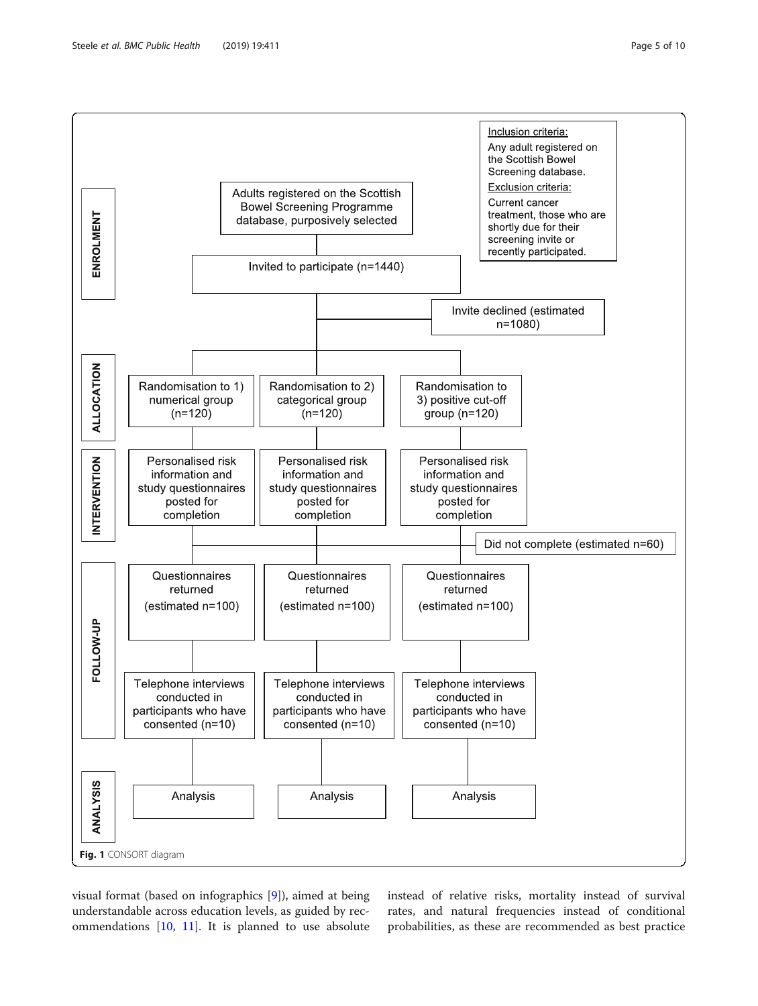<span id="page-4-0"></span>

visual format (based on infographics [\[9](#page-9-0)]), aimed at being understandable across education levels, as guided by recommendations [\[10,](#page-9-0) [11](#page-9-0)]. It is planned to use absolute instead of relative risks, mortality instead of survival rates, and natural frequencies instead of conditional probabilities, as these are recommended as best practice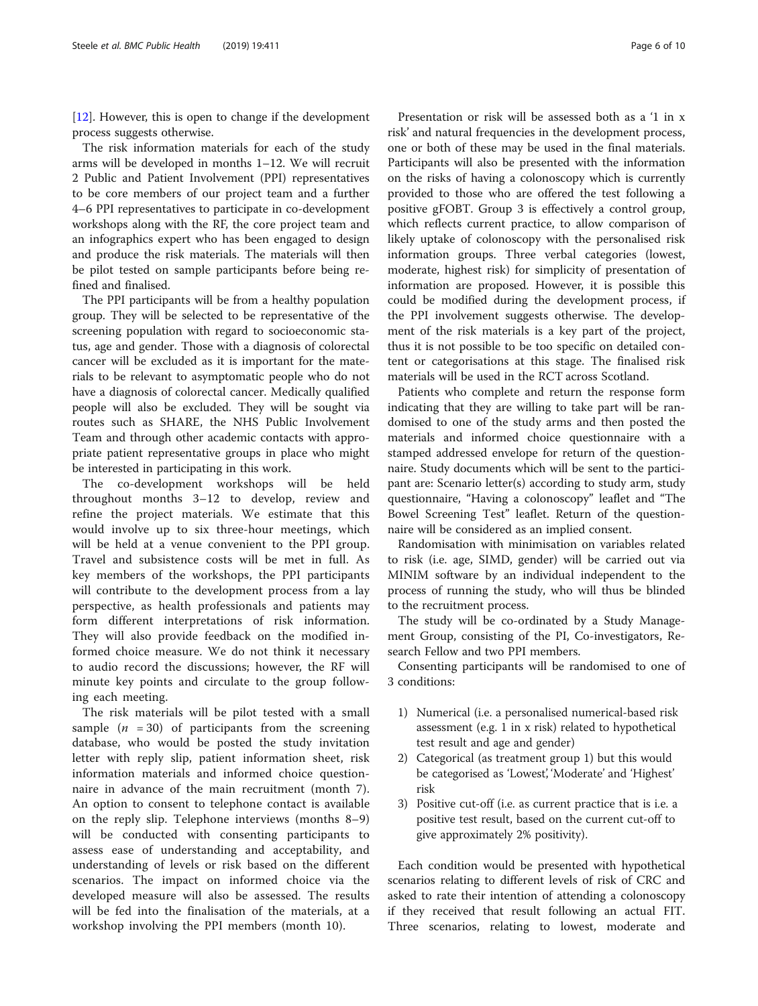[[12\]](#page-9-0). However, this is open to change if the development process suggests otherwise.

The risk information materials for each of the study arms will be developed in months 1–12. We will recruit 2 Public and Patient Involvement (PPI) representatives to be core members of our project team and a further 4–6 PPI representatives to participate in co-development workshops along with the RF, the core project team and an infographics expert who has been engaged to design and produce the risk materials. The materials will then be pilot tested on sample participants before being refined and finalised.

The PPI participants will be from a healthy population group. They will be selected to be representative of the screening population with regard to socioeconomic status, age and gender. Those with a diagnosis of colorectal cancer will be excluded as it is important for the materials to be relevant to asymptomatic people who do not have a diagnosis of colorectal cancer. Medically qualified people will also be excluded. They will be sought via routes such as SHARE, the NHS Public Involvement Team and through other academic contacts with appropriate patient representative groups in place who might be interested in participating in this work.

The co-development workshops will be held throughout months 3–12 to develop, review and refine the project materials. We estimate that this would involve up to six three-hour meetings, which will be held at a venue convenient to the PPI group. Travel and subsistence costs will be met in full. As key members of the workshops, the PPI participants will contribute to the development process from a lay perspective, as health professionals and patients may form different interpretations of risk information. They will also provide feedback on the modified informed choice measure. We do not think it necessary to audio record the discussions; however, the RF will minute key points and circulate to the group following each meeting.

The risk materials will be pilot tested with a small sample  $(n = 30)$  of participants from the screening database, who would be posted the study invitation letter with reply slip, patient information sheet, risk information materials and informed choice questionnaire in advance of the main recruitment (month 7). An option to consent to telephone contact is available on the reply slip. Telephone interviews (months 8–9) will be conducted with consenting participants to assess ease of understanding and acceptability, and understanding of levels or risk based on the different scenarios. The impact on informed choice via the developed measure will also be assessed. The results will be fed into the finalisation of the materials, at a workshop involving the PPI members (month 10).

Presentation or risk will be assessed both as a '1 in x risk' and natural frequencies in the development process, one or both of these may be used in the final materials. Participants will also be presented with the information on the risks of having a colonoscopy which is currently provided to those who are offered the test following a positive gFOBT. Group 3 is effectively a control group, which reflects current practice, to allow comparison of likely uptake of colonoscopy with the personalised risk information groups. Three verbal categories (lowest, moderate, highest risk) for simplicity of presentation of information are proposed. However, it is possible this could be modified during the development process, if the PPI involvement suggests otherwise. The development of the risk materials is a key part of the project, thus it is not possible to be too specific on detailed content or categorisations at this stage. The finalised risk materials will be used in the RCT across Scotland.

Patients who complete and return the response form indicating that they are willing to take part will be randomised to one of the study arms and then posted the materials and informed choice questionnaire with a stamped addressed envelope for return of the questionnaire. Study documents which will be sent to the participant are: Scenario letter(s) according to study arm, study questionnaire, "Having a colonoscopy" leaflet and "The Bowel Screening Test" leaflet. Return of the questionnaire will be considered as an implied consent.

Randomisation with minimisation on variables related to risk (i.e. age, SIMD, gender) will be carried out via MINIM software by an individual independent to the process of running the study, who will thus be blinded to the recruitment process.

The study will be co-ordinated by a Study Management Group, consisting of the PI, Co-investigators, Research Fellow and two PPI members.

Consenting participants will be randomised to one of 3 conditions:

- 1) Numerical (i.e. a personalised numerical-based risk assessment (e.g. 1 in x risk) related to hypothetical test result and age and gender)
- 2) Categorical (as treatment group 1) but this would be categorised as 'Lowest', 'Moderate' and 'Highest' risk
- 3) Positive cut-off (i.e. as current practice that is i.e. a positive test result, based on the current cut-off to give approximately 2% positivity).

Each condition would be presented with hypothetical scenarios relating to different levels of risk of CRC and asked to rate their intention of attending a colonoscopy if they received that result following an actual FIT. Three scenarios, relating to lowest, moderate and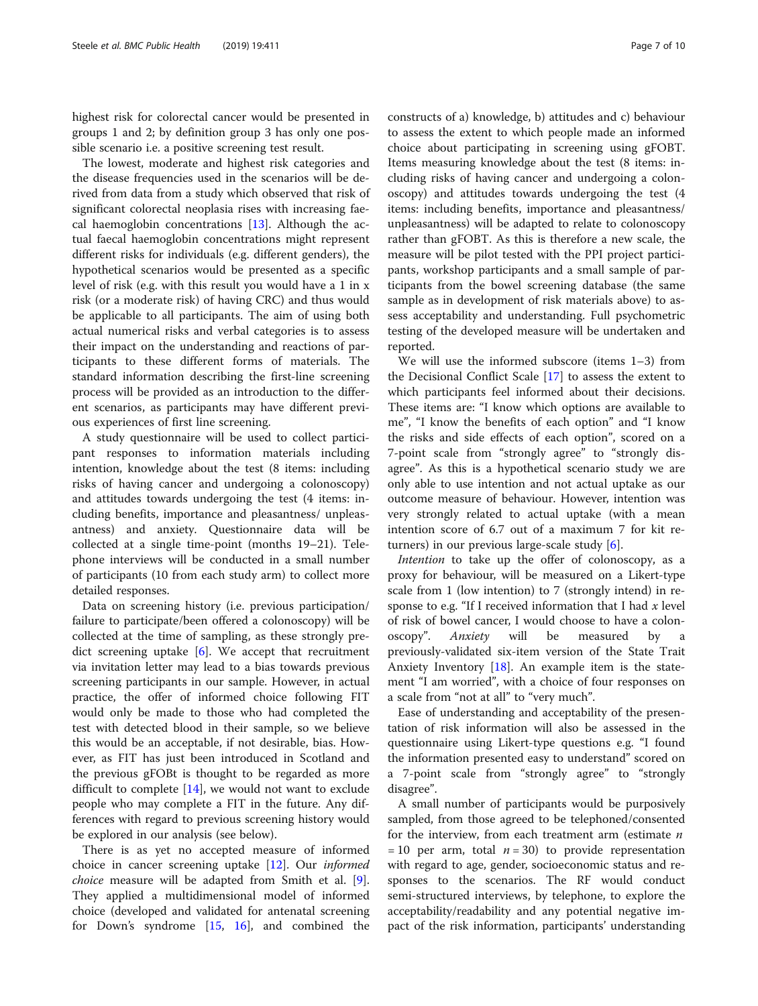highest risk for colorectal cancer would be presented in groups 1 and 2; by definition group 3 has only one possible scenario i.e. a positive screening test result.

The lowest, moderate and highest risk categories and the disease frequencies used in the scenarios will be derived from data from a study which observed that risk of significant colorectal neoplasia rises with increasing faecal haemoglobin concentrations [\[13\]](#page-9-0). Although the actual faecal haemoglobin concentrations might represent different risks for individuals (e.g. different genders), the hypothetical scenarios would be presented as a specific level of risk (e.g. with this result you would have a 1 in x risk (or a moderate risk) of having CRC) and thus would be applicable to all participants. The aim of using both actual numerical risks and verbal categories is to assess their impact on the understanding and reactions of participants to these different forms of materials. The standard information describing the first-line screening process will be provided as an introduction to the different scenarios, as participants may have different previous experiences of first line screening.

A study questionnaire will be used to collect participant responses to information materials including intention, knowledge about the test (8 items: including risks of having cancer and undergoing a colonoscopy) and attitudes towards undergoing the test (4 items: including benefits, importance and pleasantness/ unpleasantness) and anxiety. Questionnaire data will be collected at a single time-point (months 19–21). Telephone interviews will be conducted in a small number of participants (10 from each study arm) to collect more detailed responses.

Data on screening history (i.e. previous participation/ failure to participate/been offered a colonoscopy) will be collected at the time of sampling, as these strongly predict screening uptake [\[6\]](#page-9-0). We accept that recruitment via invitation letter may lead to a bias towards previous screening participants in our sample. However, in actual practice, the offer of informed choice following FIT would only be made to those who had completed the test with detected blood in their sample, so we believe this would be an acceptable, if not desirable, bias. However, as FIT has just been introduced in Scotland and the previous gFOBt is thought to be regarded as more difficult to complete [[14\]](#page-9-0), we would not want to exclude people who may complete a FIT in the future. Any differences with regard to previous screening history would be explored in our analysis (see below).

There is as yet no accepted measure of informed choice in cancer screening uptake [\[12](#page-9-0)]. Our informed choice measure will be adapted from Smith et al. [\[9](#page-9-0)]. They applied a multidimensional model of informed choice (developed and validated for antenatal screening for Down's syndrome [\[15](#page-9-0), [16\]](#page-9-0), and combined the constructs of a) knowledge, b) attitudes and c) behaviour to assess the extent to which people made an informed choice about participating in screening using gFOBT. Items measuring knowledge about the test (8 items: including risks of having cancer and undergoing a colonoscopy) and attitudes towards undergoing the test (4 items: including benefits, importance and pleasantness/ unpleasantness) will be adapted to relate to colonoscopy rather than gFOBT. As this is therefore a new scale, the measure will be pilot tested with the PPI project participants, workshop participants and a small sample of participants from the bowel screening database (the same sample as in development of risk materials above) to assess acceptability and understanding. Full psychometric testing of the developed measure will be undertaken and reported.

We will use the informed subscore (items 1–3) from the Decisional Conflict Scale [\[17\]](#page-9-0) to assess the extent to which participants feel informed about their decisions. These items are: "I know which options are available to me", "I know the benefits of each option" and "I know the risks and side effects of each option", scored on a 7-point scale from "strongly agree" to "strongly disagree". As this is a hypothetical scenario study we are only able to use intention and not actual uptake as our outcome measure of behaviour. However, intention was very strongly related to actual uptake (with a mean intention score of 6.7 out of a maximum 7 for kit returners) in our previous large-scale study [[6\]](#page-9-0).

Intention to take up the offer of colonoscopy, as a proxy for behaviour, will be measured on a Likert-type scale from 1 (low intention) to 7 (strongly intend) in response to e.g. "If I received information that I had x level of risk of bowel cancer, I would choose to have a colonoscopy". Anxiety will be measured by a previously-validated six-item version of the State Trait Anxiety Inventory  $[18]$  $[18]$  $[18]$ . An example item is the statement "I am worried", with a choice of four responses on a scale from "not at all" to "very much".

Ease of understanding and acceptability of the presentation of risk information will also be assessed in the questionnaire using Likert-type questions e.g. "I found the information presented easy to understand" scored on a 7-point scale from "strongly agree" to "strongly disagree".

A small number of participants would be purposively sampled, from those agreed to be telephoned/consented for the interview, from each treatment arm (estimate  $n$ = 10 per arm, total  $n = 30$ ) to provide representation with regard to age, gender, socioeconomic status and responses to the scenarios. The RF would conduct semi-structured interviews, by telephone, to explore the acceptability/readability and any potential negative impact of the risk information, participants' understanding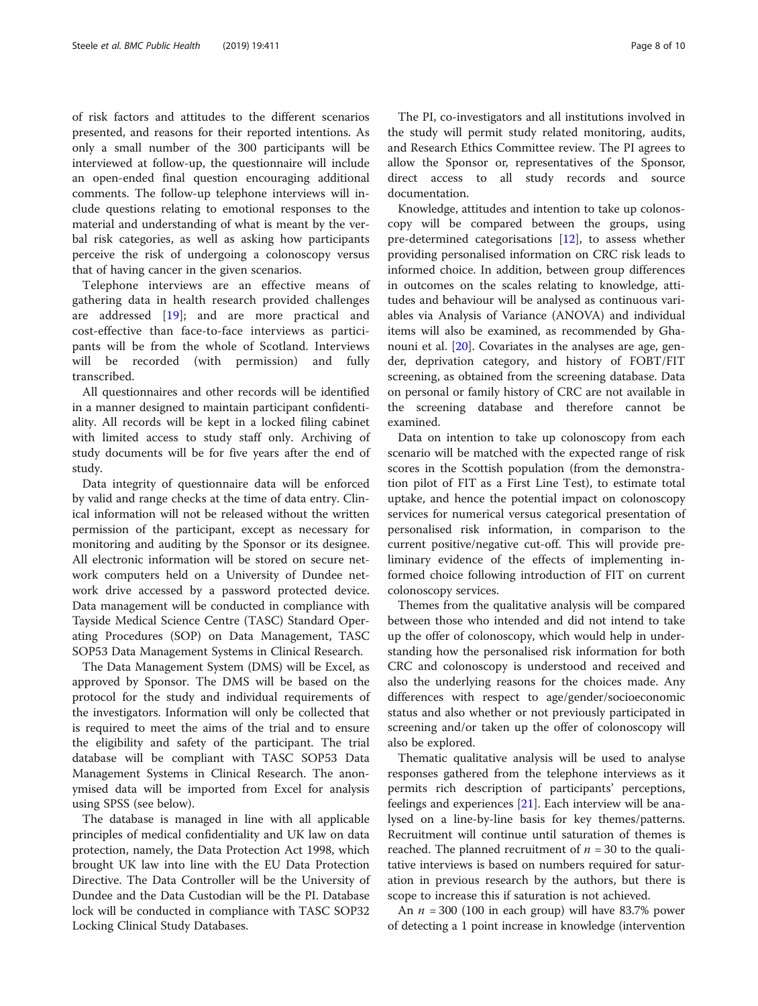of risk factors and attitudes to the different scenarios presented, and reasons for their reported intentions. As only a small number of the 300 participants will be interviewed at follow-up, the questionnaire will include an open-ended final question encouraging additional comments. The follow-up telephone interviews will include questions relating to emotional responses to the material and understanding of what is meant by the verbal risk categories, as well as asking how participants perceive the risk of undergoing a colonoscopy versus that of having cancer in the given scenarios.

Telephone interviews are an effective means of gathering data in health research provided challenges are addressed [[19\]](#page-9-0); and are more practical and cost-effective than face-to-face interviews as participants will be from the whole of Scotland. Interviews will be recorded (with permission) and fully transcribed.

All questionnaires and other records will be identified in a manner designed to maintain participant confidentiality. All records will be kept in a locked filing cabinet with limited access to study staff only. Archiving of study documents will be for five years after the end of study.

Data integrity of questionnaire data will be enforced by valid and range checks at the time of data entry. Clinical information will not be released without the written permission of the participant, except as necessary for monitoring and auditing by the Sponsor or its designee. All electronic information will be stored on secure network computers held on a University of Dundee network drive accessed by a password protected device. Data management will be conducted in compliance with Tayside Medical Science Centre (TASC) Standard Operating Procedures (SOP) on Data Management, TASC SOP53 Data Management Systems in Clinical Research.

The Data Management System (DMS) will be Excel, as approved by Sponsor. The DMS will be based on the protocol for the study and individual requirements of the investigators. Information will only be collected that is required to meet the aims of the trial and to ensure the eligibility and safety of the participant. The trial database will be compliant with TASC SOP53 Data Management Systems in Clinical Research. The anonymised data will be imported from Excel for analysis using SPSS (see below).

The database is managed in line with all applicable principles of medical confidentiality and UK law on data protection, namely, the Data Protection Act 1998, which brought UK law into line with the EU Data Protection Directive. The Data Controller will be the University of Dundee and the Data Custodian will be the PI. Database lock will be conducted in compliance with TASC SOP32 Locking Clinical Study Databases.

The PI, co-investigators and all institutions involved in the study will permit study related monitoring, audits, and Research Ethics Committee review. The PI agrees to allow the Sponsor or, representatives of the Sponsor, direct access to all study records and source documentation.

Knowledge, attitudes and intention to take up colonoscopy will be compared between the groups, using pre-determined categorisations [\[12](#page-9-0)], to assess whether providing personalised information on CRC risk leads to informed choice. In addition, between group differences in outcomes on the scales relating to knowledge, attitudes and behaviour will be analysed as continuous variables via Analysis of Variance (ANOVA) and individual items will also be examined, as recommended by Ghanouni et al. [\[20\]](#page-9-0). Covariates in the analyses are age, gender, deprivation category, and history of FOBT/FIT screening, as obtained from the screening database. Data on personal or family history of CRC are not available in the screening database and therefore cannot be examined.

Data on intention to take up colonoscopy from each scenario will be matched with the expected range of risk scores in the Scottish population (from the demonstration pilot of FIT as a First Line Test), to estimate total uptake, and hence the potential impact on colonoscopy services for numerical versus categorical presentation of personalised risk information, in comparison to the current positive/negative cut-off. This will provide preliminary evidence of the effects of implementing informed choice following introduction of FIT on current colonoscopy services.

Themes from the qualitative analysis will be compared between those who intended and did not intend to take up the offer of colonoscopy, which would help in understanding how the personalised risk information for both CRC and colonoscopy is understood and received and also the underlying reasons for the choices made. Any differences with respect to age/gender/socioeconomic status and also whether or not previously participated in screening and/or taken up the offer of colonoscopy will also be explored.

Thematic qualitative analysis will be used to analyse responses gathered from the telephone interviews as it permits rich description of participants' perceptions, feelings and experiences [[21](#page-9-0)]. Each interview will be analysed on a line-by-line basis for key themes/patterns. Recruitment will continue until saturation of themes is reached. The planned recruitment of  $n = 30$  to the qualitative interviews is based on numbers required for saturation in previous research by the authors, but there is scope to increase this if saturation is not achieved.

An  $n = 300$  (100 in each group) will have 83.7% power of detecting a 1 point increase in knowledge (intervention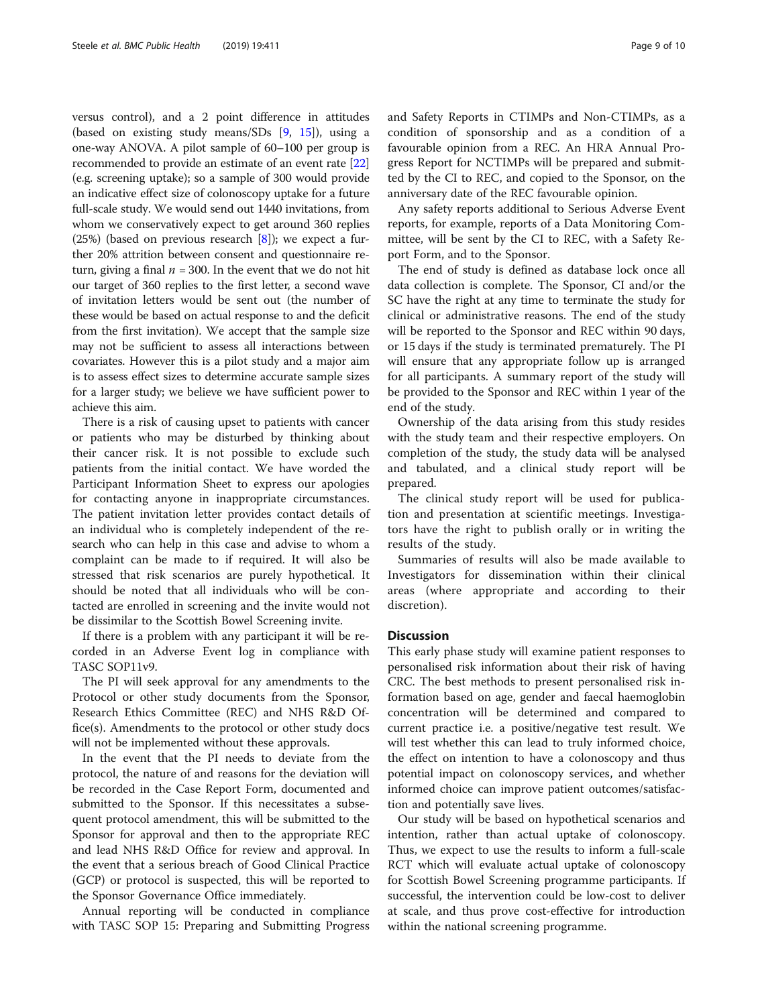versus control), and a 2 point difference in attitudes (based on existing study means/SDs  $[9, 15]$  $[9, 15]$  $[9, 15]$ ), using a one-way ANOVA. A pilot sample of 60–100 per group is recommended to provide an estimate of an event rate [[22](#page-9-0)] (e.g. screening uptake); so a sample of 300 would provide an indicative effect size of colonoscopy uptake for a future full-scale study. We would send out 1440 invitations, from whom we conservatively expect to get around 360 replies (25%) (based on previous research  $[8]$  $[8]$ ); we expect a further 20% attrition between consent and questionnaire return, giving a final  $n = 300$ . In the event that we do not hit our target of 360 replies to the first letter, a second wave of invitation letters would be sent out (the number of these would be based on actual response to and the deficit from the first invitation). We accept that the sample size may not be sufficient to assess all interactions between covariates. However this is a pilot study and a major aim is to assess effect sizes to determine accurate sample sizes for a larger study; we believe we have sufficient power to achieve this aim.

There is a risk of causing upset to patients with cancer or patients who may be disturbed by thinking about their cancer risk. It is not possible to exclude such patients from the initial contact. We have worded the Participant Information Sheet to express our apologies for contacting anyone in inappropriate circumstances. The patient invitation letter provides contact details of an individual who is completely independent of the research who can help in this case and advise to whom a complaint can be made to if required. It will also be stressed that risk scenarios are purely hypothetical. It should be noted that all individuals who will be contacted are enrolled in screening and the invite would not be dissimilar to the Scottish Bowel Screening invite.

If there is a problem with any participant it will be recorded in an Adverse Event log in compliance with TASC SOP11v9.

The PI will seek approval for any amendments to the Protocol or other study documents from the Sponsor, Research Ethics Committee (REC) and NHS R&D Office(s). Amendments to the protocol or other study docs will not be implemented without these approvals.

In the event that the PI needs to deviate from the protocol, the nature of and reasons for the deviation will be recorded in the Case Report Form, documented and submitted to the Sponsor. If this necessitates a subsequent protocol amendment, this will be submitted to the Sponsor for approval and then to the appropriate REC and lead NHS R&D Office for review and approval. In the event that a serious breach of Good Clinical Practice (GCP) or protocol is suspected, this will be reported to the Sponsor Governance Office immediately.

Annual reporting will be conducted in compliance with TASC SOP 15: Preparing and Submitting Progress and Safety Reports in CTIMPs and Non-CTIMPs, as a condition of sponsorship and as a condition of a favourable opinion from a REC. An HRA Annual Progress Report for NCTIMPs will be prepared and submitted by the CI to REC, and copied to the Sponsor, on the anniversary date of the REC favourable opinion.

Any safety reports additional to Serious Adverse Event reports, for example, reports of a Data Monitoring Committee, will be sent by the CI to REC, with a Safety Report Form, and to the Sponsor.

The end of study is defined as database lock once all data collection is complete. The Sponsor, CI and/or the SC have the right at any time to terminate the study for clinical or administrative reasons. The end of the study will be reported to the Sponsor and REC within 90 days, or 15 days if the study is terminated prematurely. The PI will ensure that any appropriate follow up is arranged for all participants. A summary report of the study will be provided to the Sponsor and REC within 1 year of the end of the study.

Ownership of the data arising from this study resides with the study team and their respective employers. On completion of the study, the study data will be analysed and tabulated, and a clinical study report will be prepared.

The clinical study report will be used for publication and presentation at scientific meetings. Investigators have the right to publish orally or in writing the results of the study.

Summaries of results will also be made available to Investigators for dissemination within their clinical areas (where appropriate and according to their discretion).

# **Discussion**

This early phase study will examine patient responses to personalised risk information about their risk of having CRC. The best methods to present personalised risk information based on age, gender and faecal haemoglobin concentration will be determined and compared to current practice i.e. a positive/negative test result. We will test whether this can lead to truly informed choice, the effect on intention to have a colonoscopy and thus potential impact on colonoscopy services, and whether informed choice can improve patient outcomes/satisfaction and potentially save lives.

Our study will be based on hypothetical scenarios and intention, rather than actual uptake of colonoscopy. Thus, we expect to use the results to inform a full-scale RCT which will evaluate actual uptake of colonoscopy for Scottish Bowel Screening programme participants. If successful, the intervention could be low-cost to deliver at scale, and thus prove cost-effective for introduction within the national screening programme.